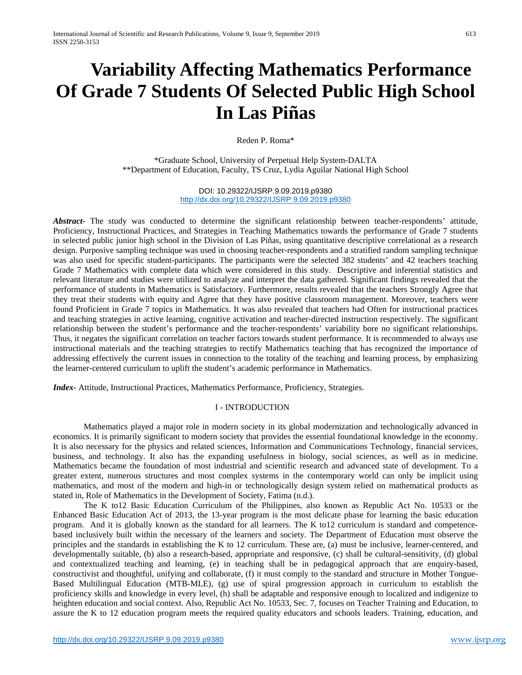# **Variability Affecting Mathematics Performance Of Grade 7 Students Of Selected Public High School In Las Piñas**

Reden P. Roma\*

\*Graduate School, University of Perpetual Help System-DALTA \*\*Department of Education, Faculty, TS Cruz, Lydia Aguilar National High School

> DOI: 10.29322/IJSRP.9.09.2019.p9380 <http://dx.doi.org/10.29322/IJSRP.9.09.2019.p9380>

*Abstract-* The study was conducted to determine the significant relationship between teacher-respondents' attitude, Proficiency, Instructional Practices, and Strategies in Teaching Mathematics towards the performance of Grade 7 students in selected public junior high school in the Division of Las Piñas, using quantitative descriptive correlational as a research design. Purposive sampling technique was used in choosing teacher-respondents and a stratified random sampling technique was also used for specific student-participants. The participants were the selected 382 students' and 42 teachers teaching Grade 7 Mathematics with complete data which were considered in this study. Descriptive and inferential statistics and relevant literature and studies were utilized to analyze and interpret the data gathered. Significant findings revealed that the performance of students in Mathematics is Satisfactory. Furthermore, results revealed that the teachers Strongly Agree that they treat their students with equity and Agree that they have positive classroom management. Moreover, teachers were found Proficient in Grade 7 topics in Mathematics. It was also revealed that teachers had Often for instructional practices and teaching strategies in active learning, cognitive activation and teacher-directed instruction respectively. The significant relationship between the student's performance and the teacher-respondents' variability bore no significant relationships. Thus, it negates the significant correlation on teacher factors towards student performance. It is recommended to always use instructional materials and the teaching strategies to rectify Mathematics teaching that has recognized the importance of addressing effectively the current issues in connection to the totality of the teaching and learning process, by emphasizing the learner-centered curriculum to uplift the student's academic performance in Mathematics.

*Index-* Attitude, Instructional Practices, Mathematics Performance, Proficiency, Strategies.

# I - INTRODUCTION

Mathematics played a major role in modern society in its global modernization and technologically advanced in economics. It is primarily significant to modern society that provides the essential foundational knowledge in the economy. It is also necessary for the physics and related sciences, Information and Communications Technology, financial services, business, and technology. It also has the expanding usefulness in biology, social sciences, as well as in medicine. Mathematics became the foundation of most industrial and scientific research and advanced state of development. To a greater extent, numerous structures and most complex systems in the contemporary world can only be implicit using mathematics, and most of the modern and high-in or technologically design system relied on mathematical products as stated in, Role of Mathematics in the Development of Society, Fatima (n.d.).

The K to12 Basic Education Curriculum of the Philippines, also known as Republic Act No. 10533 or the Enhanced Basic Education Act of 2013, the 13-year program is the most delicate phase for learning the basic education program. And it is globally known as the standard for all learners. The K to12 curriculum is standard and competencebased inclusively built within the necessary of the learners and society. The Department of Education must observe the principles and the standards in establishing the K to 12 curriculum. These are, (a) must be inclusive, learner-centered, and developmentally suitable, (b) also a research-based, appropriate and responsive, (c) shall be cultural-sensitivity, (d) global and contextualized teaching and learning, (e) in teaching shall be in pedagogical approach that are enquiry-based, constructivist and thoughtful, unifying and collaborate, (f) it must comply to the standard and structure in Mother Tongue-Based Multilingual Education (MTB-MLE), (g) use of spiral progression approach in curriculum to establish the proficiency skills and knowledge in every level, (h) shall be adaptable and responsive enough to localized and indigenize to heighten education and social context. Also, Republic Act No. 10533, Sec. 7, focuses on Teacher Training and Education, to assure the K to 12 education program meets the required quality educators and schools leaders. Training, education, and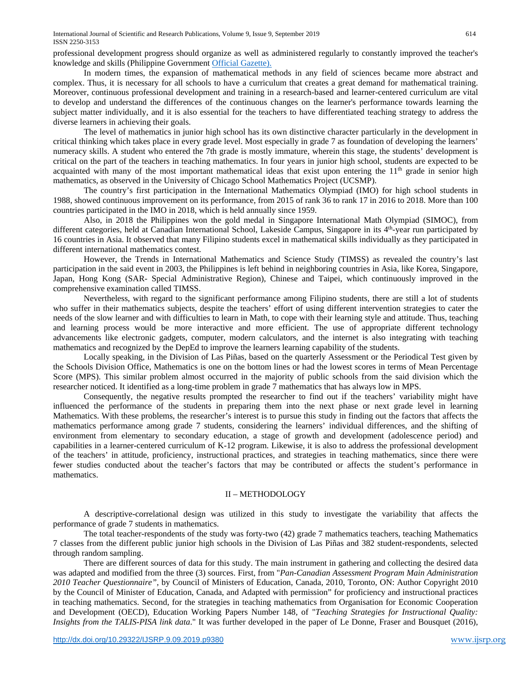professional development progress should organize as well as administered regularly to constantly improved the teacher's knowledge and skills (Philippine Governmen[t Official Gazette\).](http://www.officialgazette.gov.ph/k-12/#section-7)

In modern times, the expansion of mathematical methods in any field of sciences became more abstract and complex. Thus, it is necessary for all schools to have a curriculum that creates a great demand for mathematical training. Moreover, continuous professional development and training in a research-based and learner-centered curriculum are vital to develop and understand the differences of the continuous changes on the learner's performance towards learning the subject matter individually, and it is also essential for the teachers to have differentiated teaching strategy to address the diverse learners in achieving their goals.

The level of mathematics in junior high school has its own distinctive character particularly in the development in critical thinking which takes place in every grade level. Most especially in grade 7 as foundation of developing the learners' numeracy skills. A student who entered the 7th grade is mostly immature, wherein this stage, the students' development is critical on the part of the teachers in teaching mathematics. In four years in junior high school, students are expected to be acquainted with many of the most important mathematical ideas that exist upon entering the  $11<sup>th</sup>$  grade in senior high mathematics, as observed in the University of Chicago School Mathematics Project (UCSMP).

The country's first participation in the International Mathematics Olympiad (IMO) for high school students in 1988, showed continuous improvement on its performance, from 2015 of rank 36 to rank 17 in 2016 to 2018. More than 100 countries participated in the IMO in 2018, which is held annually since 1959.

Also, in 2018 the Philippines won the gold medal in Singapore International Math Olympiad (SIMOC), from different categories, held at Canadian International School, Lakeside Campus, Singapore in its 4<sup>th</sup>-year run participated by 16 countries in Asia. It observed that many Filipino students excel in mathematical skills individually as they participated in different international mathematics contest.

However, the Trends in International Mathematics and Science Study (TIMSS) as revealed the country's last participation in the said event in 2003, the Philippines is left behind in neighboring countries in Asia, like Korea, Singapore, Japan, Hong Kong (SAR- Special Administrative Region), Chinese and Taipei, which continuously improved in the comprehensive examination called TIMSS.

Nevertheless, with regard to the significant performance among Filipino students, there are still a lot of students who suffer in their mathematics subjects, despite the teachers' effort of using different intervention strategies to cater the needs of the slow learner and with difficulties to learn in Math, to cope with their learning style and attitude. Thus, teaching and learning process would be more interactive and more efficient. The use of appropriate different technology advancements like electronic gadgets, computer, modern calculators, and the internet is also integrating with teaching mathematics and recognized by the DepEd to improve the learners learning capability of the students.

Locally speaking, in the Division of Las Piñas, based on the quarterly Assessment or the Periodical Test given by the Schools Division Office, Mathematics is one on the bottom lines or had the lowest scores in terms of Mean Percentage Score (MPS). This similar problem almost occurred in the majority of public schools from the said division which the researcher noticed. It identified as a long-time problem in grade 7 mathematics that has always low in MPS.

Consequently, the negative results prompted the researcher to find out if the teachers' variability might have influenced the performance of the students in preparing them into the next phase or next grade level in learning Mathematics. With these problems, the researcher's interest is to pursue this study in finding out the factors that affects the mathematics performance among grade 7 students, considering the learners' individual differences, and the shifting of environment from elementary to secondary education, a stage of growth and development (adolescence period) and capabilities in a learner-centered curriculum of K-12 program. Likewise, it is also to address the professional development of the teachers' in attitude, proficiency, instructional practices, and strategies in teaching mathematics, since there were fewer studies conducted about the teacher's factors that may be contributed or affects the student's performance in mathematics.

# II – METHODOLOGY

A descriptive-correlational design was utilized in this study to investigate the variability that affects the performance of grade 7 students in mathematics.

The total teacher-respondents of the study was forty-two (42) grade 7 mathematics teachers, teaching Mathematics 7 classes from the different public junior high schools in the Division of Las Piñas and 382 student-respondents, selected through random sampling.

There are different sources of data for this study. The main instrument in gathering and collecting the desired data was adapted and modified from the three (3) sources. First, from "*Pan-Canadian Assessment Program Main Administration 2010 Teacher Questionnaire"*, by Council of Ministers of Education, Canada, 2010, Toronto, ON: Author Copyright 2010 by the Council of Minister of Education, Canada, and Adapted with permission" for proficiency and instructional practices in teaching mathematics. Second, for the strategies in teaching mathematics from Organisation for Economic Cooperation and Development (OECD), Education Working Papers Number 148, of "*Teaching Strategies for Instructional Quality: Insights from the TALIS-PISA link data*." It was further developed in the paper of Le Donne, Fraser and Bousquet (2016),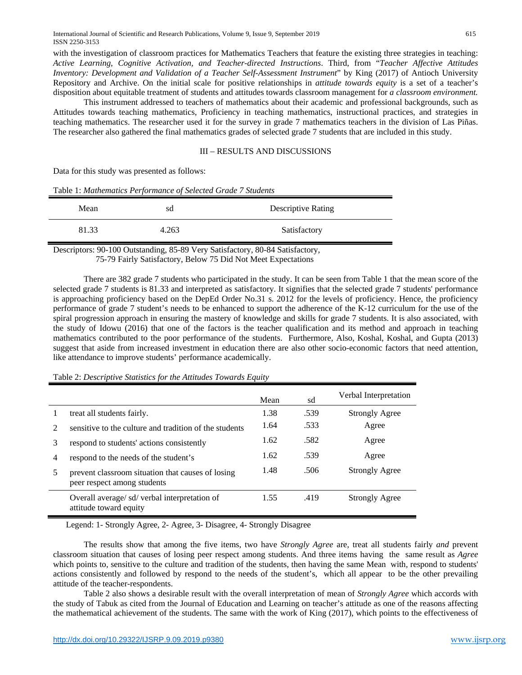with the investigation of classroom practices for Mathematics Teachers that feature the existing three strategies in teaching: *Active Learning, Cognitive Activation, and Teacher-directed Instructions*. Third, from "*Teacher Affective Attitudes Inventory: Development and Validation of a Teacher Self-Assessment Instrument*" by King (2017) of Antioch University Repository and Archive. On the initial scale for positive relationships in *attitude towards equity* is a set of a teacher's disposition about equitable treatment of students and attitudes towards classroom management for *a classroom environment.*

This instrument addressed to teachers of mathematics about their academic and professional backgrounds, such as Attitudes towards teaching mathematics, Proficiency in teaching mathematics, instructional practices, and strategies in teaching mathematics. The researcher used it for the survey in grade 7 mathematics teachers in the division of Las Piñas. The researcher also gathered the final mathematics grades of selected grade 7 students that are included in this study.

# III – RESULTS AND DISCUSSIONS

Data for this study was presented as follows:

| Mean  | sd    | <b>Descriptive Rating</b> |
|-------|-------|---------------------------|
| 81.33 | 4.263 | Satisfactory              |

Table 1: *Mathematics Performance of Selected Grade 7 Students*

Descriptors: 90-100 Outstanding, 85-89 Very Satisfactory, 80-84 Satisfactory, 75-79 Fairly Satisfactory, Below 75 Did Not Meet Expectations

There are 382 grade 7 students who participated in the study. It can be seen from Table 1 that the mean score of the selected grade 7 students is 81.33 and interpreted as satisfactory. It signifies that the selected grade 7 students' performance is approaching proficiency based on the DepEd Order No.31 s. 2012 for the levels of proficiency. Hence, the proficiency performance of grade 7 student's needs to be enhanced to support the adherence of the K-12 curriculum for the use of the spiral progression approach in ensuring the mastery of knowledge and skills for grade 7 students. It is also associated, with the study of Idowu (2016) that one of the factors is the teacher qualification and its method and approach in teaching mathematics contributed to the poor performance of the students. Furthermore, Also, Koshal, Koshal, and Gupta (2013) suggest that aside from increased investment in education there are also other socio-economic factors that need attention, like attendance to improve students' performance academically.

# Table 2: *Descriptive Statistics for the Attitudes Towards Equity*

|                |                                                                                  | Mean | sd   | Verbal Interpretation |
|----------------|----------------------------------------------------------------------------------|------|------|-----------------------|
| T              | treat all students fairly.                                                       | 1.38 | .539 | <b>Strongly Agree</b> |
| 2              | sensitive to the culture and tradition of the students                           | 1.64 | .533 | Agree                 |
| 3              | respond to students' actions consistently                                        | 1.62 | .582 | Agree                 |
| $\overline{4}$ | respond to the needs of the student's                                            | 1.62 | .539 | Agree                 |
| 5              | prevent classroom situation that causes of losing<br>peer respect among students | 1.48 | .506 | <b>Strongly Agree</b> |
|                | Overall average/sd/verbal interpretation of<br>attitude toward equity            | 1.55 | .419 | <b>Strongly Agree</b> |

Legend: 1- Strongly Agree, 2- Agree, 3- Disagree, 4- Strongly Disagree

The results show that among the five items, two have *Strongly Agree* are, treat all students fairly *and* prevent classroom situation that causes of losing peer respect among students. And three items having the same result as *Agree* which points to, sensitive to the culture and tradition of the students, then having the same Mean with*,* respond to students' actions consistently and followed by respond to the needs of the student's, which all appear to be the other prevailing attitude of the teacher-respondents.

Table 2 also shows a desirable result with the overall interpretation of mean of *Strongly Agree* which accords with the study of Tabuk as cited from the Journal of Education and Learning on teacher's attitude as one of the reasons affecting the mathematical achievement of the students. The same with the work of King (2017), which points to the effectiveness of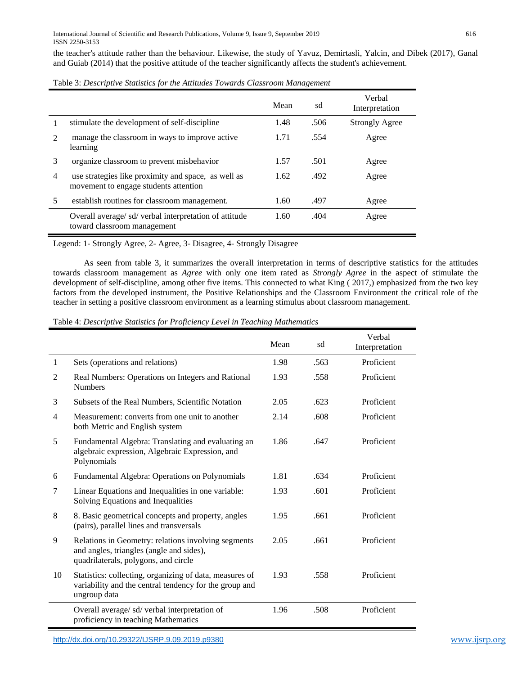the teacher's attitude rather than the behaviour. Likewise, the study of Yavuz, Demirtasli, Yalcin, and Dibek (2017), Ganal and Guiab (2014) that the positive attitude of the teacher significantly affects the student's achievement.

| Table 3: Descriptive Statistics for the Attitudes Towards Classroom Management |  |  |  |  |  |
|--------------------------------------------------------------------------------|--|--|--|--|--|
|--------------------------------------------------------------------------------|--|--|--|--|--|

|   |                                                                                              | Mean | sd   | Verbal<br>Interpretation |
|---|----------------------------------------------------------------------------------------------|------|------|--------------------------|
|   | stimulate the development of self-discipline                                                 | 1.48 | .506 | <b>Strongly Agree</b>    |
|   | manage the classroom in ways to improve active<br>learning                                   | 1.71 | .554 | Agree                    |
| 3 | organize classroom to prevent misbehavior                                                    | 1.57 | .501 | Agree                    |
| 4 | use strategies like proximity and space, as well as<br>movement to engage students attention | 1.62 | .492 | Agree                    |
| 5 | establish routines for classroom management.                                                 | 1.60 | .497 | Agree                    |
|   | Overall average/sd/verbal interpretation of attitude<br>toward classroom management          | 1.60 | .404 | Agree                    |

Legend: 1- Strongly Agree, 2- Agree, 3- Disagree, 4- Strongly Disagree

As seen from table 3, it summarizes the overall interpretation in terms of descriptive statistics for the attitudes towards classroom management as *Agree* with only one item rated as *Strongly Agree* in the aspect of stimulate the development of self-discipline*,* among other five items. This connected to what King ( 2017,) emphasized from the two key factors from the developed instrument, the Positive Relationships and the Classroom Environment the critical role of the teacher in setting a positive classroom environment as a learning stimulus about classroom management.

Table 4: *Descriptive Statistics for Proficiency Level in Teaching Mathematics*

|                |                                                                                                                                         | Mean | sd   | Verbal<br>Interpretation |
|----------------|-----------------------------------------------------------------------------------------------------------------------------------------|------|------|--------------------------|
| 1              | Sets (operations and relations)                                                                                                         | 1.98 | .563 | Proficient               |
| 2              | Real Numbers: Operations on Integers and Rational<br><b>Numbers</b>                                                                     | 1.93 | .558 | Proficient               |
| 3              | Subsets of the Real Numbers, Scientific Notation                                                                                        | 2.05 | .623 | Proficient               |
| $\overline{4}$ | Measurement: converts from one unit to another<br>both Metric and English system                                                        | 2.14 | .608 | Proficient               |
| 5              | Fundamental Algebra: Translating and evaluating an<br>algebraic expression, Algebraic Expression, and<br>Polynomials                    | 1.86 | .647 | Proficient               |
| 6              | Fundamental Algebra: Operations on Polynomials                                                                                          | 1.81 | .634 | Proficient               |
| 7              | Linear Equations and Inequalities in one variable:<br>Solving Equations and Inequalities                                                | 1.93 | .601 | Proficient               |
| 8              | 8. Basic geometrical concepts and property, angles<br>(pairs), parallel lines and transversals                                          | 1.95 | .661 | Proficient               |
| 9              | Relations in Geometry: relations involving segments<br>and angles, triangles (angle and sides),<br>quadrilaterals, polygons, and circle | 2.05 | .661 | Proficient               |
| 10             | Statistics: collecting, organizing of data, measures of<br>variability and the central tendency for the group and<br>ungroup data       | 1.93 | .558 | Proficient               |
|                | Overall average/ sd/ verbal interpretation of<br>proficiency in teaching Mathematics                                                    | 1.96 | .508 | Proficient               |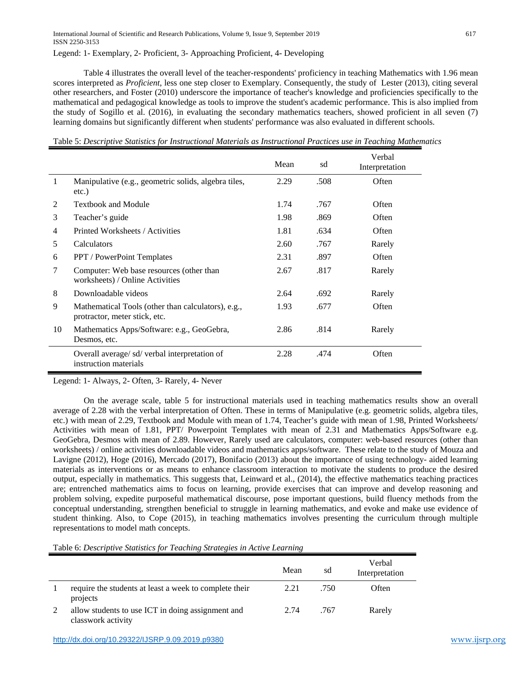Legend: 1- Exemplary, 2- Proficient, 3- Approaching Proficient, 4- Developing

Table 4 illustrates the overall level of the teacher-respondents' proficiency in teaching Mathematics with 1.96 mean scores interpreted as *Proficient*, less one step closer to Exemplary. Consequently, the study of Lester (2013), citing several other researchers, and Foster (2010) underscore the importance of teacher's knowledge and proficiencies specifically to the mathematical and pedagogical knowledge as tools to improve the student's academic performance. This is also implied from the study of Sogillo et al. (2016), in evaluating the secondary mathematics teachers, showed proficient in all seven (7) learning domains but significantly different when students' performance was also evaluated in different schools.

Table 5: *Descriptive Statistics for Instructional Materials as Instructional Practices use in Teaching Mathematics*

|    |                                                                                     | Mean | sd   | Verbal<br>Interpretation |
|----|-------------------------------------------------------------------------------------|------|------|--------------------------|
| 1  | Manipulative (e.g., geometric solids, algebra tiles,<br>etc.)                       | 2.29 | .508 | Often                    |
| 2  | <b>Textbook and Module</b>                                                          | 1.74 | .767 | Often                    |
| 3  | Teacher's guide                                                                     | 1.98 | .869 | Often                    |
| 4  | Printed Worksheets / Activities                                                     | 1.81 | .634 | Often                    |
| 5  | <b>Calculators</b>                                                                  | 2.60 | .767 | Rarely                   |
| 6  | <b>PPT</b> / PowerPoint Templates                                                   | 2.31 | .897 | Often                    |
| 7  | Computer: Web base resources (other than<br>worksheets) / Online Activities         | 2.67 | .817 | Rarely                   |
| 8  | Downloadable videos                                                                 | 2.64 | .692 | Rarely                   |
| 9  | Mathematical Tools (other than calculators), e.g.,<br>protractor, meter stick, etc. | 1.93 | .677 | Often                    |
| 10 | Mathematics Apps/Software: e.g., GeoGebra,<br>Desmos, etc.                          | 2.86 | .814 | Rarely                   |
|    | Overall average/sd/verbal interpretation of<br>instruction materials                | 2.28 | .474 | Often                    |

Legend: 1- Always, 2- Often, 3- Rarely, 4- Never

On the average scale, table 5 for instructional materials used in teaching mathematics results show an overall average of 2.28 with the verbal interpretation of Often. These in terms of Manipulative (e.g. geometric solids, algebra tiles, etc.) with mean of 2.29, Textbook and Module with mean of 1.74, Teacher's guide with mean of 1.98, Printed Worksheets/ Activities with mean of 1.81, PPT/ Powerpoint Templates with mean of 2.31 and Mathematics Apps/Software e.g. GeoGebra, Desmos with mean of 2.89. However, Rarely used are calculators, computer: web-based resources (other than worksheets) / online activities downloadable videos and mathematics apps/software. These relate to the study of Mouza and Lavigne (2012), Hoge (2016), Mercado (2017), Bonifacio (2013) about the importance of using technology- aided learning materials as interventions or as means to enhance classroom interaction to motivate the students to produce the desired output, especially in mathematics. This suggests that, Leinward et al., (2014), the effective mathematics teaching practices are; entrenched mathematics aims to focus on learning, provide exercises that can improve and develop reasoning and problem solving, expedite purposeful mathematical discourse, pose important questions, build fluency methods from the conceptual understanding, strengthen beneficial to struggle in learning mathematics, and evoke and make use evidence of student thinking. Also, to Cope (2015), in teaching mathematics involves presenting the curriculum through multiple representations to model math concepts.

Table 6: *Descriptive Statistics for Teaching Strategies in Active Learning*

|                                                                         | Mean | sd   | Verbal<br>Interpretation |
|-------------------------------------------------------------------------|------|------|--------------------------|
| require the students at least a week to complete their<br>projects      | 2.21 | .750 | Often                    |
| allow students to use ICT in doing assignment and<br>classwork activity | 2.74 | .767 | Rarely                   |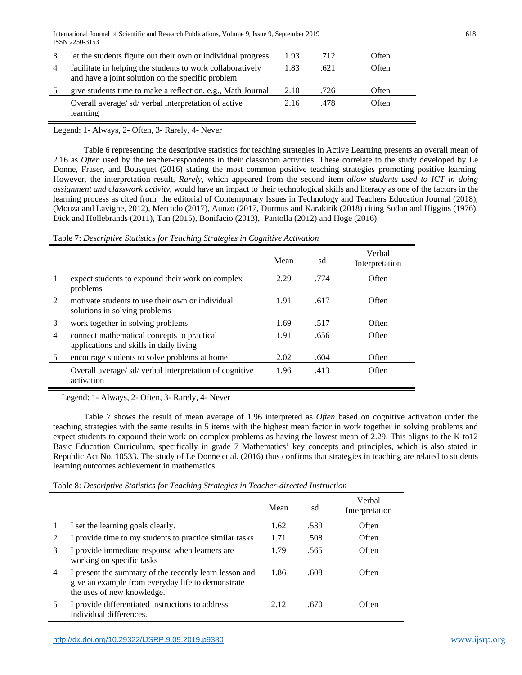International Journal of Scientific and Research Publications, Volume 9, Issue 9, September 2019 618 ISSN 2250-3153

|   | Let the students figure out their own or individual progress                                                    | 1.93 | .712 | Often |
|---|-----------------------------------------------------------------------------------------------------------------|------|------|-------|
| 4 | facilitate in helping the students to work collaboratively<br>and have a joint solution on the specific problem | 1.83 | .621 | Often |
|   | give students time to make a reflection, e.g., Math Journal                                                     | 2.10 | .726 | Often |
|   | Overall average/sd/verbal interpretation of active<br>learning                                                  | 2.16 | .478 | Often |

Legend: 1- Always, 2- Often, 3- Rarely, 4- Never

Table 6 representing the descriptive statistics for teaching strategies in Active Learning presents an overall mean of 2.16 as *Often* used by the teacher-respondents in their classroom activities. These correlate to the study developed by Le Donne, Fraser, and Bousquet (2016) stating the most common positive teaching strategies promoting positive learning. However, the interpretation result, *Rarely*, which appeared from the second item *allow* s*tudents used to ICT in doing assignment and classwork activity,* would have an impact to their technological skills and literacy as one of the factors in the learning process as cited from the editorial of Contemporary Issues in Technology and Teachers Education Journal (2018), (Mouza and Lavigne, 2012), Mercado (2017), Aunzo (2017, Durmus and Karakirik (2018) citing Sudan and Higgins (1976), Dick and Hollebrands (2011), Tan (2015), Bonifacio (2013), Pantolla (2012) and Hoge (2016).

Table 7: *Descriptive Statistics for Teaching Strategies in Cognitive Activation*

|                |                                                                                       | Mean | sd   | Verbal<br>Interpretation |
|----------------|---------------------------------------------------------------------------------------|------|------|--------------------------|
|                | expect students to expound their work on complex<br>problems                          | 2.29 | .774 | Often                    |
| $\mathfrak{D}$ | motivate students to use their own or individual<br>solutions in solving problems     | 1.91 | .617 | Often                    |
| 3              | work together in solving problems                                                     | 1.69 | .517 | Often                    |
| 4              | connect mathematical concepts to practical<br>applications and skills in daily living | 1.91 | .656 | Often                    |
| 5              | encourage students to solve problems at home                                          | 2.02 | .604 | Often                    |
|                | Overall average/sd/verbal interpretation of cognitive<br>activation                   | 1.96 | .413 | Often                    |

Legend: 1- Always, 2- Often, 3- Rarely, 4- Never

Table 7 shows the result of mean average of 1.96 interpreted as *Often* based on cognitive activation under the teaching strategies with the same results in 5 items with the highest mean factor in work together in solving problems and expect students to expound their work on complex problems as having the lowest mean of 2.29. This aligns to the K to12 Basic Education Curriculum, specifically in grade 7 Mathematics' key concepts and principles, which is also stated in Republic Act No. 10533. The study of Le Donne et al. (2016) thus confirms that strategies in teaching are related to students learning outcomes achievement in mathematics.

Table 8: *Descriptive Statistics for Teaching Strategies in Teacher-directed Instruction*

|   |                                                                                                                                           | Mean | sd   | Verbal<br>Interpretation |
|---|-------------------------------------------------------------------------------------------------------------------------------------------|------|------|--------------------------|
|   | I set the learning goals clearly.                                                                                                         | 1.62 | .539 | Often                    |
| 2 | I provide time to my students to practice similar tasks                                                                                   | 1.71 | .508 | Often                    |
| 3 | I provide immediate response when learners are<br>working on specific tasks                                                               | 1.79 | .565 | Often                    |
| 4 | I present the summary of the recently learn lesson and<br>give an example from everyday life to demonstrate<br>the uses of new knowledge. | 1.86 | .608 | Often                    |
|   | I provide differentiated instructions to address<br>individual differences.                                                               | 2.12 | .670 | Often                    |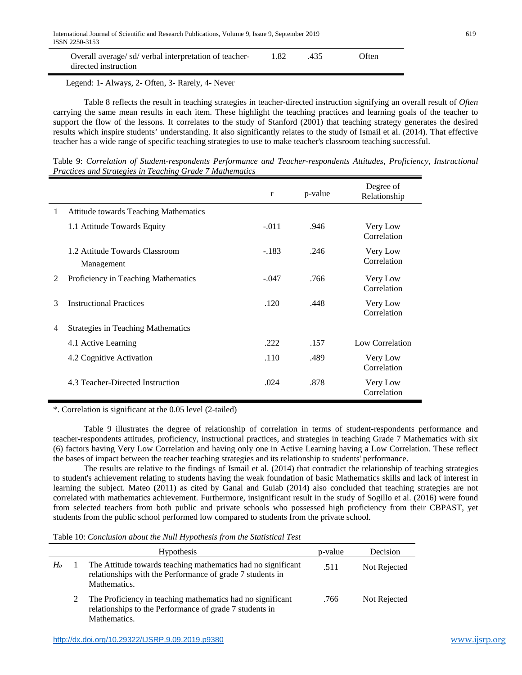|  | Overall average/sd/verbal interpretation of teacher-<br>directed instruction |  | 435 | : Often |
|--|------------------------------------------------------------------------------|--|-----|---------|
|--|------------------------------------------------------------------------------|--|-----|---------|

Legend: 1- Always, 2- Often, 3- Rarely, 4- Never

Table 8 reflects the result in teaching strategies in teacher-directed instruction signifying an overall result of *Often* carrying the same mean results in each item. These highlight the teaching practices and learning goals of the teacher to support the flow of the lessons. It correlates to the study of Stanford (2001) that teaching strategy generates the desired results which inspire students' understanding. It also significantly relates to the study of Ismail et al. (2014). That effective teacher has a wide range of specific teaching strategies to use to make teacher's classroom teaching successful.

Table 9: *Correlation of Student-respondents Performance and Teacher-respondents Attitudes, Proficiency, Instructional Practices and Strategies in Teaching Grade 7 Mathematics* 

|   |                                              | r       | p-value | Degree of<br>Relationship |
|---|----------------------------------------------|---------|---------|---------------------------|
| 1 | <b>Attitude towards Teaching Mathematics</b> |         |         |                           |
|   | 1.1 Attitude Towards Equity                  | $-.011$ | .946    | Very Low<br>Correlation   |
|   | 1.2 Attitude Towards Classroom<br>Management | $-.183$ | .246    | Very Low<br>Correlation   |
| 2 | Proficiency in Teaching Mathematics          | $-.047$ | .766    | Very Low<br>Correlation   |
| 3 | <b>Instructional Practices</b>               | .120    | .448    | Very Low<br>Correlation   |
| 4 | <b>Strategies in Teaching Mathematics</b>    |         |         |                           |
|   | 4.1 Active Learning                          | .222    | .157    | Low Correlation           |
|   | 4.2 Cognitive Activation                     | .110    | .489    | Very Low<br>Correlation   |
|   | 4.3 Teacher-Directed Instruction             | .024    | .878    | Very Low<br>Correlation   |

\*. Correlation is significant at the 0.05 level (2-tailed)

Table 9 illustrates the degree of relationship of correlation in terms of student-respondents performance and teacher-respondents attitudes, proficiency, instructional practices, and strategies in teaching Grade 7 Mathematics with six (6) factors having Very Low Correlation and having only one in Active Learning having a Low Correlation. These reflect the bases of impact between the teacher teaching strategies and its relationship to students' performance.

The results are relative to the findings of Ismail et al. (2014) that contradict the relationship of teaching strategies to student's achievement relating to students having the weak foundation of basic Mathematics skills and lack of interest in learning the subject. Mateo (2011) as cited by Ganal and Guiab (2014) also concluded that teaching strategies are not correlated with mathematics achievement. Furthermore, insignificant result in the study of Sogillo et al. (2016) were found from selected teachers from both public and private schools who possessed high proficiency from their CBPAST, yet students from the public school performed low compared to students from the private school.

Table 10: *Conclusion about the Null Hypothesis from the Statistical Test*

|                | <b>Hypothesis</b>                                                                                                                         | p-value | Decision     |
|----------------|-------------------------------------------------------------------------------------------------------------------------------------------|---------|--------------|
| H <sub>o</sub> | The Attitude towards teaching mathematics had no significant<br>relationships with the Performance of grade 7 students in<br>Mathematics. | .511    | Not Rejected |
|                | The Proficiency in teaching mathematics had no significant<br>relationships to the Performance of grade 7 students in<br>Mathematics.     | .766    | Not Rejected |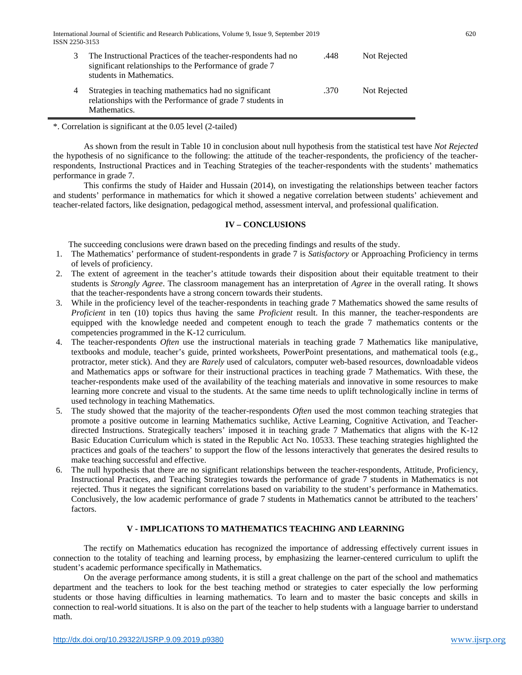International Journal of Scientific and Research Publications, Volume 9, Issue 9, September 2019 620 ISSN 2250-3153

| The Instructional Practices of the teacher-respondents had no<br>significant relationships to the Performance of grade 7<br>students in Mathematics. | .448 | Not Rejected |
|------------------------------------------------------------------------------------------------------------------------------------------------------|------|--------------|
| Strategies in teaching mathematics had no significant<br>relationships with the Performance of grade 7 students in<br>Mathematics.                   | .370 | Not Rejected |

\*. Correlation is significant at the 0.05 level (2-tailed)

As shown from the result in Table 10 in conclusion about null hypothesis from the statistical test have *Not Rejected* the hypothesis of no significance to the following: the attitude of the teacher-respondents, the proficiency of the teacherrespondents, Instructional Practices and in Teaching Strategies of the teacher-respondents with the students' mathematics performance in grade 7.

This confirms the study of Haider and Hussain (2014), on investigating the relationships between teacher factors and students' performance in mathematics for which it showed a negative correlation between students' achievement and teacher-related factors, like designation, pedagogical method, assessment interval, and professional qualification.

# **IV – CONCLUSIONS**

The succeeding conclusions were drawn based on the preceding findings and results of the study.

- 1. The Mathematics' performance of student-respondents in grade 7 is *Satisfactory* or Approaching Proficiency in terms of levels of proficiency.
- 2. The extent of agreement in the teacher's attitude towards their disposition about their equitable treatment to their students is *Strongly Agree*. The classroom management has an interpretation of *Agree* in the overall rating. It shows that the teacher-respondents have a strong concern towards their students.
- 3. While in the proficiency level of the teacher-respondents in teaching grade 7 Mathematics showed the same results of *Proficient* in ten (10) topics thus having the same *Proficient* result. In this manner, the teacher-respondents are equipped with the knowledge needed and competent enough to teach the grade 7 mathematics contents or the competencies programmed in the K-12 curriculum.
- 4. The teacher-respondents *Often* use the instructional materials in teaching grade 7 Mathematics like manipulative, textbooks and module, teacher's guide, printed worksheets, PowerPoint presentations, and mathematical tools (e.g., protractor, meter stick). And they are *Rarely* used of calculators, computer web-based resources, downloadable videos and Mathematics apps or software for their instructional practices in teaching grade 7 Mathematics. With these, the teacher-respondents make used of the availability of the teaching materials and innovative in some resources to make learning more concrete and visual to the students. At the same time needs to uplift technologically incline in terms of used technology in teaching Mathematics.
- 5. The study showed that the majority of the teacher-respondents *Often* used the most common teaching strategies that promote a positive outcome in learning Mathematics suchlike, Active Learning, Cognitive Activation, and Teacherdirected Instructions. Strategically teachers' imposed it in teaching grade 7 Mathematics that aligns with the K-12 Basic Education Curriculum which is stated in the Republic Act No. 10533. These teaching strategies highlighted the practices and goals of the teachers' to support the flow of the lessons interactively that generates the desired results to make teaching successful and effective.
- 6. The null hypothesis that there are no significant relationships between the teacher-respondents, Attitude, Proficiency, Instructional Practices, and Teaching Strategies towards the performance of grade 7 students in Mathematics is not rejected. Thus it negates the significant correlations based on variability to the student's performance in Mathematics. Conclusively, the low academic performance of grade 7 students in Mathematics cannot be attributed to the teachers' factors.

# **V - IMPLICATIONS TO MATHEMATICS TEACHING AND LEARNING**

The rectify on Mathematics education has recognized the importance of addressing effectively current issues in connection to the totality of teaching and learning process, by emphasizing the learner-centered curriculum to uplift the student's academic performance specifically in Mathematics.

On the average performance among students, it is still a great challenge on the part of the school and mathematics department and the teachers to look for the best teaching method or strategies to cater especially the low performing students or those having difficulties in learning mathematics. To learn and to master the basic concepts and skills in connection to real-world situations. It is also on the part of the teacher to help students with a language barrier to understand math.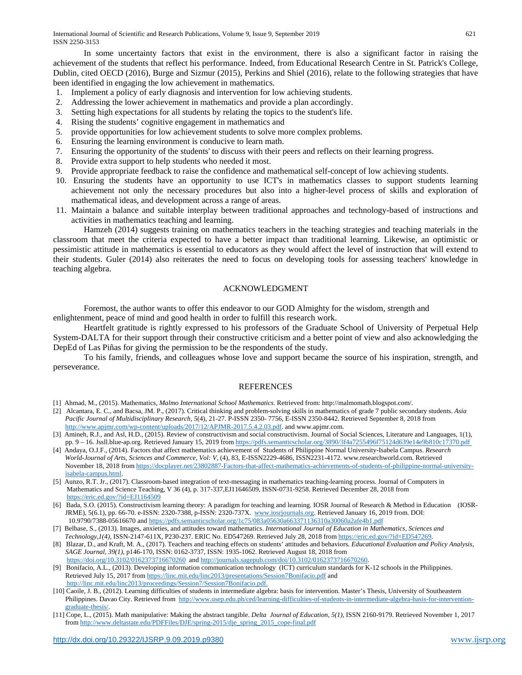In some uncertainty factors that exist in the environment, there is also a significant factor in raising the achievement of the students that reflect his performance. Indeed, from Educational Research Centre in St. Patrick's College, Dublin, cited OECD (2016), Burge and Sizmur (2015), Perkins and Shiel (2016), relate to the following strategies that have been identified in engaging the low achievement in mathematics.

- 1. Implement a policy of early diagnosis and intervention for low achieving students.
- 2. Addressing the lower achievement in mathematics and provide a plan accordingly.
- 3. Setting high expectations for all students by relating the topics to the student's life.
- 4. Rising the students' cognitive engagement in mathematics and
- 5. provide opportunities for low achievement students to solve more complex problems.
- 6. Ensuring the learning environment is conducive to learn math.
- 7. Ensuring the opportunity of the students' to discuss with their peers and reflects on their learning progress.
- 8. Provide extra support to help students who needed it most.
- 9. Provide appropriate feedback to raise the confidence and mathematical self-concept of low achieving students.
- 10. Ensuring the students have an opportunity to use ICT's in mathematics classes to support students learning achievement not only the necessary procedures but also into a higher-level process of skills and exploration of mathematical ideas, and development across a range of areas.
- 11. Maintain a balance and suitable interplay between traditional approaches and technology-based of instructions and activities in mathematics teaching and learning.

Hamzeh (2014) suggests training on mathematics teachers in the teaching strategies and teaching materials in the classroom that meet the criteria expected to have a better impact than traditional learning. Likewise, an optimistic or pessimistic attitude in mathematics is essential to educators as they would affect the level of instruction that will extend to their students. Guler (2014) also reiterates the need to focus on developing tools for assessing teachers' knowledge in teaching algebra.

# ACKNOWLEDGMENT

Foremost, the author wants to offer this endeavor to our GOD Almighty for the wisdom, strength and enlightenment, peace of mind and good health in order to fulfill this research work.

Heartfelt gratitude is rightly expressed to his professors of the Graduate School of University of Perpetual Help System-DALTA for their support through their constructive criticism and a better point of view and also acknowledging the DepEd of Las Piñas for giving the permission to be the respondents of the study.

To his family, friends, and colleagues whose love and support became the source of his inspiration, strength, and perseverance.

# **REFERENCES**

- [2] Alcantara, E. C., and Bacsa, JM. P., (2017). Critical thinking and problem-solving skills in mathematics of grade 7 public secondary students. *Asia Pacific Journal of Multidisciplinary Research, 5*(4), 21-27. P-ISSN 2350- 7756, E-ISSN 2350-8442. Retrieved September 8, 2018 from [http://www.apjmr.com/wp-content/uploads/2017/12/APJMR-2017.5.4.2.03.pdf.](http://www.apjmr.com/wp-content/uploads/2017/12/APJMR-2017.5.4.2.03.pdf) and www.apjmr.com.
- [3] Amineh, R.J., and Asl, H.D., (2015). Review of constructivism and social constructivism. Journal of Social Sciences, Literature and Languages, 1(1), pp. 9 – 16. Jssll.blue-ap.org. Retrieved January 15, 2019 fro[m https://pdfs.semanticscholar.org/3890/3f4a7255496f75124d639e14e9b810c17370.pdf](https://pdfs.semanticscholar.org/3890/3f4a7255496f75124d639e14e9b810c17370.pdf)
- [4] Andaya, O.J.F., (2014). Factors that affect mathematics achievement of Students of Philippine Normal University-Isabela Campus. *Research World-Journal of Arts, Sciences and Commerce, Vol: V*, (4), 83, E-ISSN2229-4686, ISSN2231-4172. www.researchworld.com. Retrieved November 18, 2018 from [https://docplayer.net/23802887-Factors-that-affect-mathematics-achievements-of-students-of-philippine-normal-university](https://docplayer.net/23802887-Factors-that-affect-mathematics-achievements-of-students-of-philippine-normal-university-isabela-campus.html)[isabela-campus.html.](https://docplayer.net/23802887-Factors-that-affect-mathematics-achievements-of-students-of-philippine-normal-university-isabela-campus.html)
- [5] Aunzo, R.T. Jr., (2017). Classroom-based integration of text-messaging in mathematics teaching-learning process. Journal of Computers in Mathematics and Science Teaching, V 36 (4), p. 317-337,EJ11646509, ISSN-0731-9258. Retrieved December 28, 2018 from <https://eric.ed.gov/?id=EJ1164509>
- [6] Bada, S.O. (2015). Constructivism learning theory: A paradigm for teaching and learning. IOSR Journal of Research & Method in Education (IOSR-JRME), 5(6.1), pp. 66-70. e-ISSN: 2320-7388, p-ISSN: 2320-737X. [www.iosrjournals.org.](http://www.iosrjournals.org/) Retrieved January 16, 2019 from. DOI: 10.9790/7388-05616670 and<https://pdfs.semanticscholar.org/1c75/083a05630a663371136310a30060a2afe4b1.pdf>
- [7] Belbase, S., (2013). Images, anxieties, and attitudes toward mathematics. *International Journal of Education in Mathematics, Sciences and Technology,1(4),* ISSN-2147-611X, P230-237. ERIC No. ED547269. Retrieved July 28, 2018 fro[m https://eric.ed.gov/?id=ED547269.](https://eric.ed.gov/?id=ED547269)
- [8] Blazar, D., and Kraft, M. A., (2017). Teachers and teaching effects on students' attitudes and behaviors. *Educational Evaluation and Policy Analysis, SAGE Journal, 39(1),* p146-170, ISSN: 0162-3737, ISSN: 1935-1062. Retrieved August 18, 2018 from <https://doi.org/10.3102/0162373716670260> an[d http://journals.sagepub.com/doi/10.3102/0162373716670260.](http://journals.sagepub.com/doi/10.3102/0162373716670260)
- [9] Bonifacio, A.L., (2013). Developing information communication technology (ICT) curriculum standards for K-12 schools in the Philippines. Retrieved July 15, 2017 fro[m https://linc.mit.edu/linc2013/presentations/Session7Bonifacio.pdf](https://linc.mit.edu/linc2013/presentations/Session7Bonifacio.pdf) and [http://linc.mit.edu/linc2013/proceedings/Session7/Session7Bonifacio.pdf.](http://linc.mit.edu/linc2013/proceedings/Session7/Session7Bonifacio.pdf)
- [10] Caoile, J. B., (2012). Learning difficulties of students in intermediate algebra: basis for intervention. Master's Thesis, University of Southeastern Philippines. Davao City. Retrieved from [http://www.usep.edu.ph/ced/learning-difficulties-of-students-in-intermediate-algebra-basis-for-intervention](http://www.usep.edu.ph/ced/learning-difficulties-of-students-in-intermediate-algebra-basis-for-intervention-graduate-thesis/)[graduate-thesis/.](http://www.usep.edu.ph/ced/learning-difficulties-of-students-in-intermediate-algebra-basis-for-intervention-graduate-thesis/)
- [11] Cope, L., (2015). Math manipulative: Making the abstract tangible. *Delta Journal of Education, 5(1)*, ISSN 2160-9179. Retrieved November 1, 2017 fro[m http://www.deltastate.edu/PDFFiles/DJE/spring-2015/dje\\_spring\\_2015\\_cope-final.pdf](http://www.deltastate.edu/PDFFiles/DJE/spring-2015/dje_spring_2015_cope-final.pdf)

<sup>[1]</sup> Ahmad, M., (2015). Mathematics, *Malmo International School Mathematics*. Retrieved from: http://malmomath.blogspot.com/.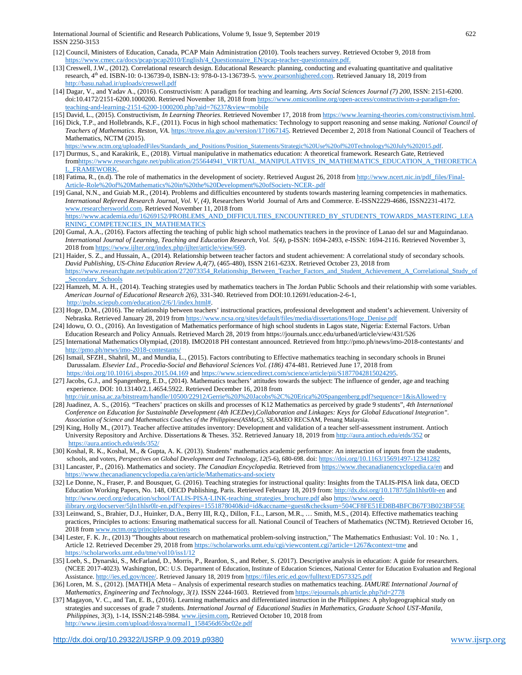International Journal of Scientific and Research Publications, Volume 9, Issue 9, September 2019 622 ISSN 2250-3153

- [12] Council, Ministers of Education, Canada, PCAP Main Administration (2010). Tools teachers survey. Retrieved October 9, 2018 from [https://www.cmec.ca/docs/pcap/pcap2010/English/4\\_Questionnaire\\_EN/pcap-teacher-questionnaire.pdf.](https://www.cmec.ca/docs/pcap/pcap2010/English/4_Questionnaire_EN/pcap-teacher-questionnaire.pdf)
- [13] Creswell, J.W., (2012). Correlational research design. Educational Research: planning, conducting and evaluating quantitative and qualitative research, 4<sup>th</sup> ed. ISBN-10: 0-136739-0, ISBN-13: 978-0-13-136739-5. [www.pearsonhighered.com.](http://www.pearsonhighered.com/) Retrieved January 18, 2019 from <http://basu.nahad.ir/uploads/creswell.pdf>
- [14] Dagar, V., and Yadav A., (2016). Constructivism: A paradigm for teaching and learning. *Arts Social Sciences Journal (7) 200*, ISSN: 2151-6200. doi:10.4172/2151-6200.1000200. Retrieved November 18, 2018 fro[m https://www.omicsonline.org/open-access/constructivism-a-paradigm-for](https://www.omicsonline.org/open-access/constructivism-a-paradigm-for-teaching-and-learning-2151-6200-1000200.php?aid=76237&view=mobile)[teaching-and-learning-2151-6200-1000200.php?aid=76237&view=mobile](https://www.omicsonline.org/open-access/constructivism-a-paradigm-for-teaching-and-learning-2151-6200-1000200.php?aid=76237&view=mobile)
- [15] David, L., (2015). Constructivism, *In Learning Theories*. Retrieved November 17, 2018 fro[m https://www.learning-theories.com/constructivism.html.](https://www.learning-theories.com/constructivism.html)
- [16] Dick, T.P., and Hollebrands, K.F., (2011). Focus in high school mathematics: Technology to support reasoning and sense making. *National Council of Teachers of Mathematics. Reston, VA*. [https://trove.nla.gov.au/version/171067145.](https://trove.nla.gov.au/version/171067145) Retrieved December 2, 2018 from National Council of Teachers of Mathematics, NCTM (2015). [https://www.nctm.org/uploadedFiles/Standards\\_and\\_Positions/Position\\_Statements/Strategic%20Use%20of%20Technology%20July%202015.pdf.](https://www.nctm.org/uploadedFiles/Standards_and_Positions/Position_Statements/Strategic%20Use%20of%20Technology%20July%202015.pdf)
- [17] Durmus, S., and Karakirik, E., (2018). Virtual manipulative in mathematics education: A theoretical framework. Research Gate, Retrieved fro[mhttps://www.researchgate.net/publication/255644941\\_VIRTUAL\\_MANIPULATIVES\\_IN\\_MATHEMATICS\\_EDUCATION\\_A\\_THEORETICA](https://www.researchgate.net/publication/255644941_VIRTUAL_MANIPULATIVES_IN_MATHEMATICS_EDUCATION_A_THEORETICAL_FRAMEWORK) [L\\_FRAMEWORK.](https://www.researchgate.net/publication/255644941_VIRTUAL_MANIPULATIVES_IN_MATHEMATICS_EDUCATION_A_THEORETICAL_FRAMEWORK)
- [18] Fatima, R., (n.d). The role of mathematics in the development of society. Retrieved August 26, 2018 from [http://www.ncert.nic.in/pdf\\_files/Final-](http://www.ncert.nic.in/pdf_files/Final-Article-Role%20of%20Mathematics%20in%20the%20Development%20ofSociety-NCER-.pdf)[Article-Role%20of%20Mathematics%20in%20the%20Development%20ofSociety-NCER-.pdf](http://www.ncert.nic.in/pdf_files/Final-Article-Role%20of%20Mathematics%20in%20the%20Development%20ofSociety-NCER-.pdf)
- [19] Ganal, N.N., and Guiab M.R., (2014). Problems and difficulties encountered by students towards mastering learning competencies in mathematics. *International Refereed Research Journal, Vol. V, (4),* Researchers World Journal of Arts and Commerce. E-ISSN2229-4686, ISSN2231-4172. [www.researchersworld.com.](http://www.researchersworld.com/) Retrieved November 11, 2018 from [https://www.academia.edu/16269152/PROBLEMS\\_AND\\_DIFFICULTIES\\_ENCOUNTERED\\_BY\\_STUDENTS\\_TOWARDS\\_MASTERING\\_LEA](https://www.academia.edu/16269152/PROBLEMS_AND_DIFFICULTIES_ENCOUNTERED_BY_STUDENTS_TOWARDS_MASTERING_LEARNING_COMPETENCIES_IN_MATHEMATICS) [RNING\\_COMPETENCIES\\_IN\\_MATHEMATICS](https://www.academia.edu/16269152/PROBLEMS_AND_DIFFICULTIES_ENCOUNTERED_BY_STUDENTS_TOWARDS_MASTERING_LEARNING_COMPETENCIES_IN_MATHEMATICS)
- [20] Gumal, A.A., (2016). Factors affecting the teaching of public high school mathematics teachers in the province of Lanao del sur and Maguindanao. *International Journal of Learning, Teaching and Education Research, Vol. 5(4)*, p-ISSN: 1694-2493, e-ISSN: 1694-2116. Retrieved November 3, 2018 fro[m https://www.ijlter.org/index.php/ijlter/article/view/669.](https://www.ijlter.org/index.php/ijlter/article/view/669)
- [21] Haider, S. Z., and Hussain, A., (2014). Relationship between teacher factors and student achievement: A correlational study of secondary schools. *David Publishing, US-China Education Review A,4(7),* (465-480), ISSN 2161-623X. Retrieved October 23, 2018 from [https://www.researchgate.net/publication/272073354\\_Relationship\\_Between\\_Teacher\\_Factors\\_and\\_Student\\_Achievement\\_A\\_Correlational\\_Study\\_of](https://www.researchgate.net/publication/272073354_Relationship_Between_Teacher_Factors_and_Student_Achievement_A_Correlational_Study_of_Secondary_Schools) Secondary\_Schools
- [22] Hamzeh, M. A. H., (2014). Teaching strategies used by mathematics teachers in The Jordan Public Schools and their relationship with some variables. *American Journal of Educational Research 2(6),* 331-340. Retrieved from DOI:10.12691/education-2-6-1, [http://pubs.sciepub.com/education/2/6/1/index.html#.](http://pubs.sciepub.com/education/2/6/1/index.html)
- [23] Hoge, D.M., (2016). The relationship between teachers' instructional practices, professional development and student's achievement. University of Nebraska. Retrieved January 28, 2019 fro[m https://www.ncsa.org/sites/default/files/media/dissertations/Hoge\\_Denise.pdf](https://www.ncsa.org/sites/default/files/media/dissertations/Hoge_Denise.pdf)
- [24] Idowu, O. O., (2016). An Investigation of Mathematics performance of high school students in Lagos state, Nigeria: External Factors. Urban Education Research and Policy Annuals. Retrieved March 28, 2019 from https://journals.uncc.edu/urbaned/article/view/431/526
- [25] International Mathematics Olympiad, (2018). IMO2018 PH contestant announced. Retrieved from http://pmo.ph/news/imo-2018-contestants/ and <http://pmo.ph/news/imo-2018-contestants/>
- [26] Ismail, SFZH., Shahril, M., and Mundia, L., (2015). Factors contributing to Effective mathematics teaching in secondary schools in Brunei Darussalam. *Elsevier Ltd., Procedia-Social and Behavioral Sciences Vol. (186)* 474-481. Retrieved June 17, 2018 from <https://doi.org/10.1016/j.sbspro.2015.04.169> and https://www.sciencedirect.com/science/article/pii/S1877042815024295
- [27] Jacobs, G.J., and Spangenberg, E.D., (2014). Mathematics teachers' attitudes towards the subject: The influence of gender, age and teaching experience. DOI: 10.13140/2.1.4654.5922. Retrieved December 16, 2018 from
- <http://uir.unisa.ac.za/bitstream/handle/10500/22912/Gerrie%20J%20Jacobs%2C%20Erica%20Spangenberg.pdf?sequence=1&isAllowed=y> [28] Juadinez, A. S., (2016). "Teachers' practices on skills and processes of K12 Mathematics as perceived by grade 9 students", *4th International Conference on Education for Sustainable Development (4th ICEDev),Collaboration and Linkages: Keys for Global Educational Integration". Association of Science and Mathematics Coaches of the Philippines(ASMaC),* SEAMEO RECSAM, Penang Malaysia.
- [29] King, Holly M., (2017). Teacher affective attitudes inventory: Development and validation of a teacher self-assessment instrument. Antioch University Repository and Archive. Dissertations & Theses. 352. Retrieved January 18, 2019 fro[m http://aura.antioch.edu/etds/352](http://aura.antioch.edu/etds/352) or <https://aura.antioch.edu/etds/352/>
- [30] Koshal, R. K., Koshal, M., & Gupta, A. K. (2013). Students' mathematics academic performance: An interaction of inputs from the students, schools, and voters, *Perspectives on Global Development and Technology*, *12*(5-6), 680-698. doi[: https://doi.org/10.1163/15691497-12341282](https://doi.org/10.1163/15691497-12341282)
- [31] Lancaster, P., (2016). Mathematics and society. *The Canadian Encyclopedia.* Retrieved from<https://www.thecanadianencyclopedia.ca/en> and <https://www.thecanadianencyclopedia.ca/en/article/Mathematics-and-society>
- [32] Le Donne, N., Fraser, P. and Bousquet, G. (2016). Teaching strategies for instructional quality: Insights from the TALIS-PISA link data, OECD Education Working Papers, No. 148, OECD Publishing, Paris. Retrieved February 18, 2019 from[: http://dx.doi.org/10.1787/5jln1hlsr0lr-en](http://dx.doi.org/10.1787/5jln1hlsr0lr-en) and [http://www.oecd.org/education/school/TALIS-PISA-LINK-teaching\\_strategies\\_brochure.pdf](http://www.oecd.org/education/school/TALIS-PISA-LINK-teaching_strategies_brochure.pdf) also [https://www.oecd](https://www.oecd-ilibrary.org/docserver/5jln1hlsr0lr-en.pdf?expires=1551878040&id=id&accname=guest&checksum=504CF8FE51ED8B4BFCB67F3B023BF55E)[ilibrary.org/docserver/5jln1hlsr0lr-en.pdf?expires=1551878040&id=id&accname=guest&checksum=504CF8FE51ED8B4BFCB67F3B023BF55E](https://www.oecd-ilibrary.org/docserver/5jln1hlsr0lr-en.pdf?expires=1551878040&id=id&accname=guest&checksum=504CF8FE51ED8B4BFCB67F3B023BF55E)
- [33] Leinwand, S., Brahier, D.J., Huinker, D.A., Berry III, R.Q., Dillon, F.L., Larson, M.R., … Smith, M.S., (2014). Effective mathematics teaching practices, Principles to actions: Ensuring mathematical success for all. National Council of Teachers of Mathematics (NCTM). Retrieved October 16, 2018 fro[m www.nctm.org/principlestoactions](http://www.nctm.org/principlestoactions)
- [34] Lester, F. K. Jr., (2013) "Thoughts about research on mathematical problem-solving instruction," The Mathematics Enthusiast: Vol. 10 : No. 1 , Article 12. Retrieved December 29, 2018 fro[m https://scholarworks.umt.edu/cgi/viewcontent.cgi?article=1267&context=tme](https://scholarworks.umt.edu/cgi/viewcontent.cgi?article=1267&context=tme) and <https://scholarworks.umt.edu/tme/vol10/iss1/12>
- [35] Loeb, S., Dynarski, S., McFarland, D., Morris, P., Reardon, S., and Reber, S. (2017). Descriptive analysis in education: A guide for researchers. (NCEE 2017-4023). Washington, DC: U.S. Department of Education, Institute of Education Sciences, National Center for Education Evaluation and Regional Assistance[. http://ies.ed.gov/ncee/.](http://ies.ed.gov/ncee/) Retrieved January 18, 2019 fro[m https://files.eric.ed.gov/fulltext/ED573325.pdf](https://files.eric.ed.gov/fulltext/ED573325.pdf)
- [36] Loren, M. S., (2012). [MATH]A Meta Analysis of experimental research studies on mathematics teaching. *IAMURE International Journal of Mathematics, Engineering and Technology, 3(1).* ISSN 2244-1603. Retrieved fro[m https://ejournals.ph/article.php?id=2778](https://ejournals.ph/article.php?id=2778)
- [37] Magayon, V. C., and Tan, E. B., (2016). Learning mathematics and differentiated instruction in the Philippines: A phylogeographical study on strategies and successes of grade 7 students. *International Journal of Educational Studies in Mathematics, Graduate School UST-Manila, Philippines, 3*(3), 1-14, ISSN:2148-5984[. www.ijesim.com,](http://www.ijesim.com/) Retrieved October 10, 2018 from [http://www.ijesim.com/upload/dosya/normal1\\_158456d65bc02e.pdf](http://www.ijesim.com/upload/dosya/normal1_158456d65bc02e.pdf)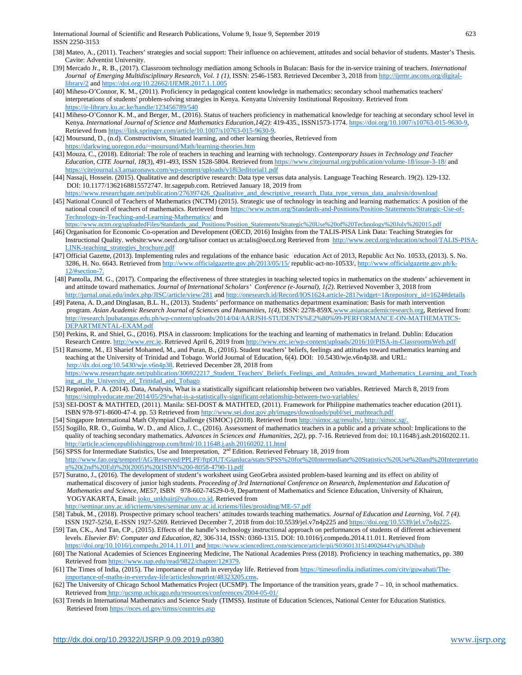International Journal of Scientific and Research Publications, Volume 9, Issue 9, September 2019 623 ISSN 2250-3153

- [38] Mateo, A., (2011). Teachers' strategies and social support: Their influence on achievement, attitudes and social behavior of students. Master's Thesis. Cavite: Adventist University.
- [39] Mercado Jr., R. B., (2017). Classroom technology mediation among Schools in Bulacan: Basis for the in-service training of teachers. *International Journal of Emerging Multidisciplinary Research, Vol. 1 (1),* ISSN: 2546-1583. Retrieved December 3, 2018 fro[m http://ijemr.ascons.org/digital](http://ijemr.ascons.org/digital-library/2)[library/2](http://ijemr.ascons.org/digital-library/2) an[d https://doi.org/10.22662/IJEMR.2017.1.1.005](https://doi.org/10.22662/IJEMR.2017.1.1.005)
- [40] Miheso-O'Connor, K. M., (2011). Proficiency in pedagogical content knowledge in mathematics: secondary school mathematics teachers' interpretations of students' problem-solving strategies in Kenya. Kenyatta University Institutional Repository. Retrieved from <https://ir-library.ku.ac.ke/handle/123456789/540>
- [41] Miheso-O'Connor K. M., and Berger, M., (2016). Status of teachers proficiency in mathematical knowledge for teaching at secondary school level in Kenya. *International Journal of Science and Mathematics Education,14(2)*: 419-435., ISSN1573-1774[. https://doi.org/10.1007/s10763-015-9630-9,](https://doi.org/10.1007/s10763-015-9630-9)  Retrieved fro[m https://link.springer.com/article/10.1007/s10763-015-9630-9.](https://link.springer.com/article/10.1007/s10763-015-9630-9)
- [42] Moursund, D., (n.d). Constructivism, Situated learning, and other learning theories, Retrieved from [https://darkwing.uoregon.edu/~moursund/Math/learning-theories.htm](https://darkwing.uoregon.edu/%7Emoursund/Math/learning-theories.htm)
- [43] Mouza, C., (2018). Editorial: The role of teachers in teaching and learning with technology. *Contemporary Issues in Technology and Teacher Education, CITE Journal, 18*(3), 491-493, ISSN 1528-5804. Retrieved from <https://www.citejournal.org/publication/volume-18/issue-3-18/> and <https://citejournal.s3.amazonaws.com/wp-content/uploads/v18i3editorial1.pdf>
- [44] Nassaji, Hossein. (2015). Qualitative and descriptive research: Data type versus data analysis. Language Teaching Research. 19(2). 129-132. DOI: 10.1177/1362168815572747. ltr.sagepub.com. Retrieved January 18, 2019 from
- [https://www.researchgate.net/publication/276397426\\_Qualitative\\_and\\_descriptive\\_research\\_Data\\_type\\_versus\\_data\\_analysis/download](https://www.researchgate.net/publication/276397426_Qualitative_and_descriptive_research_Data_type_versus_data_analysis/download) [45] National Council of Teachers of Mathematics (NCTM) (2015). Strategic use of technology in teaching and learning mathematics: A position of the national council of teachers of mathematics. Retrieved fro[m https://www.nctm.org/Standards-and-Positions/Position-Statements/Strategic-Use-of-](https://www.nctm.org/Standards-and-Positions/Position-Statements/Strategic-Use-of-Technology-in-Teaching-and-Learning-Mathematics/)[Technology-in-Teaching-and-Learning-Mathematics/](https://www.nctm.org/Standards-and-Positions/Position-Statements/Strategic-Use-of-Technology-in-Teaching-and-Learning-Mathematics/) and [https://www.nctm.org/uploadedFiles/Standards\\_and\\_Positions/Position\\_Statements/Strategic%20Use%20of%20Technology%20July%202015.pdf](https://www.nctm.org/uploadedFiles/Standards_and_Positions/Position_Statements/Strategic%20Use%20of%20Technology%20July%202015.pdf)
- [46] Organisation for Economic Co-operation and Development (OECD, 2016) Insights from the TALIS-PISA Link Data: Teaching Strategies for Instructional Quality. website:www.oecd.org/talisor contact us at:talis@oecd.org Retrieved from [http://www.oecd.org/education/school/TALIS-PISA-](http://www.oecd.org/education/school/TALIS-PISA-LINK-teaching_strategies_brochure.pdf)[LINK-teaching\\_strategies\\_brochure.pdf](http://www.oecd.org/education/school/TALIS-PISA-LINK-teaching_strategies_brochure.pdf)
- [47] Official Gazette, (2013). Implementing rules and regulations of the enhance basic education Act of 2013, Republic Act No. 10533, (2013). S. No. 3286, H. No. 6643. Retrieved from<http://www.officialgazette.gov.ph/2013/05/15/> republic-act-no-10533/[, http://www.officialgazette.gov.ph/k-](http://www.officialgazette.gov.ph/k-12/#section-7)[12/#section-7.](http://www.officialgazette.gov.ph/k-12/#section-7)
- [48] Pantolla, JM. G., (2017). Comparing the effectiveness of three strategies in teaching selected topics in mathematics on the students' achievement in and attitude toward mathematics. *Journal of International Scholars' Conference (e-Journal), 1(2)*. Retrieved November 3, 2018 from <http://jurnal.unai.edu/index.php/JISC/article/view/281> an[d http://onesearch.id/Record/IOS1624.article-281?widget=1&repository\\_id=1624#details](http://onesearch.id/Record/IOS1624.article-281?widget=1&repository_id=1624#details)
- [49] Patena, A. D.,and Dinglasan, B.L. H., (2013). Students' performance on mathematics department examination: Basis for math intervention program. *Asian Academic Research Journal of Sciences and Humanities, 1(4),* ISSN: 2278-859X[.www.asianacademicresearch.org,](http://www.asianacademicresearch.org/) Retrieved from: [http://research.lpubatangas.edu.ph/wp-content/uploads/2014/04/AARJSH-STUDENTS%E2%80%99-PERFORMANCE-ON-MATHEMATICS-](http://research.lpubatangas.edu.ph/wp-content/uploads/2014/04/AARJSH-STUDENTS%E2%80%99-PERFORMANCE-ON-MATHEMATICS-DEPARTMENTAL-EXAM.pdf)[DEPARTMENTAL-EXAM.pdf](http://research.lpubatangas.edu.ph/wp-content/uploads/2014/04/AARJSH-STUDENTS%E2%80%99-PERFORMANCE-ON-MATHEMATICS-DEPARTMENTAL-EXAM.pdf)
- [50] Perkins, R. and Shiel, G., (2016). PISA in classroom: Implications for the teaching and learning of mathematics in Ireland. Dublin: Education Research Centre[. http://www.erc.ie.](http://www.erc.ie/) Retrieved April 6, 2019 fro[m http://www.erc.ie/wp-content/uploads/2016/10/PISA-in-ClassroomsWeb.pdf](http://www.erc.ie/wp-content/uploads/2016/10/PISA-in-ClassroomsWeb.pdf)
- [51] Ransome, M., El Sharief Mohamed, M., and Puran, B., (2016). Student teachers' beliefs, feelings and attitudes toward mathematics learning and teaching at the University of Trinidad and Tobago. World Journal of Education, 6(4). DOI: 10.5430/wje.v6n4p38. and URL: [http://dx.doi.org/10.5430/wje.v6n4p38.](http://dx.doi.org/10.5430/wje.v6n4p38) Retrieved December 28, 2018 from [https://www.researchgate.net/publication/306922217\\_Student\\_Teachers'\\_Beliefs\\_Feelings\\_and\\_Attitudes\\_toward\\_Mathematics\\_Learning\\_and\\_Teach](https://www.researchgate.net/publication/306922217_Student_Teachers) [ing\\_at\\_the\\_University\\_of\\_Trinidad\\_and\\_Tobago](https://www.researchgate.net/publication/306922217_Student_Teachers)
- [52] Regoniel, P. A. (2014). Data, Analysis, What is a statistically significant relationship between two variables. Retrieved March 8, 2019 from <https://simplyeducate.me/2014/05/29/what-is-a-statistically-significant-relationship-between-two-variables/>
- [53] SEI-DOST & MATHTED, (2011). Manila: SEI-DOST & MATHTED, (2011). Framework for Philippine mathematics teacher education (2011). ISBN 978-971-8600-47-4. pp. 53 Retrieved fro[m http://www.sei.dost.gov.ph/images/downloads/publ/sei\\_mathteach.pdf](http://www.sei.dost.gov.ph/images/downloads/publ/sei_mathteach.pdf)
- [54] Singapore International Math Olympiad Challenge (SIMOC) (2018). Retrieved fro[m http://simoc.sg/results/,](http://simoc.sg/results/) [http://simoc.sg/.](http://simoc.sg/)
- [55] Sogillo, RR. O., Guimba, W. D., and Alico, J. C., (2016). Assessment of mathematics teachers in a public and a private school: Implications to the quality of teaching secondary mathematics. *Advances in Sciences and Humanities, 2(2)*, pp. 7-16. Retrieved from doi: 10.11648/j.ash.20160202.11. <http://article.sciencepublishinggroup.com/html/10.11648.j.ash.20160202.11.html>
- [56] SPSS for Intermediate Statistics, Use and Interpretation, 2nd Edition. Retrieved February 18, 2019 from [http://www.fao.org/tempref/AG/Reserved/PPLPF/ftpOUT/Gianluca/stats/SPSS%20for%20Intermediate%20Statistics%20Use%20and%20Interpretatio](http://www.fao.org/tempref/AG/Reserved/PPLPF/ftpOUT/Gianluca/stats/SPSS%20for%20Intermediate%20Statistics%20Use%20and%20Interpretation%20(2nd%20Ed)%20(2005)%20(ISBN%200-8058-4790-1).pdf) [n%20\(2nd%20Ed\)%20\(2005\)%20\(ISBN%200-8058-4790-1\).pdf](http://www.fao.org/tempref/AG/Reserved/PPLPF/ftpOUT/Gianluca/stats/SPSS%20for%20Intermediate%20Statistics%20Use%20and%20Interpretation%20(2nd%20Ed)%20(2005)%20(ISBN%200-8058-4790-1).pdf)
- [57] Suratno, J., (2016). The development of student's worksheet using GeoGebra assisted problem-based learning and its effect on ability of mathematical discovery of junior high students. *Proceeding of 3rd International Conference on Research, Implementation and Education of Mathematics and Science, ME57*, ISBN 978-602-74529-0-9, Department of Mathematics and Science Education, University of Khairun, YOGYAKARTA, Email[: joko\\_unkhair@yahoo.co.id.](mailto:joko_unkhair@yahoo.co.id) Retrieved from <http://seminar.uny.ac.id/icriems/sites/seminar.uny.ac.id.icriems/files/prosiding/ME-57.pdf>
- [58] Tabuk, M., (2018). Prospective primary school teachers' attitudes towards teaching mathematics*. Journal of Education and Learning, Vol. 7 (4).* ISSN 1927-5250, E-ISSN 1927-5269. Retrieved December 7, 2018 from doi:10.5539/jel.v7n4p225 and [https://doi.org/10.5539/jel.v7n4p225.](https://doi.org/10.5539/jel.v7n4p225)
- [59] Tan, CK., And Tan, CP., (2015). Effects of the handle's technology instructional approach on performances of students of different achievement levels. *Elsevier BV: Computer and Education, 82,* 306-314, ISSN: 0360-1315. DOI: 10.1016/j.compedu.2014.11.011. Retrieved from <https://doi.org/10.1016/j.compedu.2014.11.011> and <https://www.sciencedirect.com/science/article/pii/S0360131514002644?via%3Dihub>
- [60] The National Academies of Sciences Engineering Medicine, The National Academies Press (2018). Proficiency in teaching mathematics, pp. 380 Retrieved fro[m https://www.nap.edu/read/9822/chapter/12#379.](https://www.nap.edu/read/9822/chapter/12#379)
- [61] The Times of India, (2015). The importance of math in everyday life. Retrieved fro[m https://timesofindia.indiatimes.com/city/guwahati/The](https://timesofindia.indiatimes.com/city/guwahati/The-importance-of-maths-in-everyday-life/articleshowprint/48323205.cms)[importance-of-maths-in-everyday-life/articleshowprint/48323205.cms.](https://timesofindia.indiatimes.com/city/guwahati/The-importance-of-maths-in-everyday-life/articleshowprint/48323205.cms)
- [62] The University of Chicago School Mathematics Project (UCSMP). The Importance of the transition years, grade  $7 10$ , in school mathematics. Retrieved from <http://ucsmp.uchicago.edu/resources/conferences/2004-05-01/>
- [63] Trends in International Mathematics and Science Study (TIMSS). Institute of Education Sciences, National Center for Education Statistics. Retrieved from<https://nces.ed.gov/timss/countries.asp>